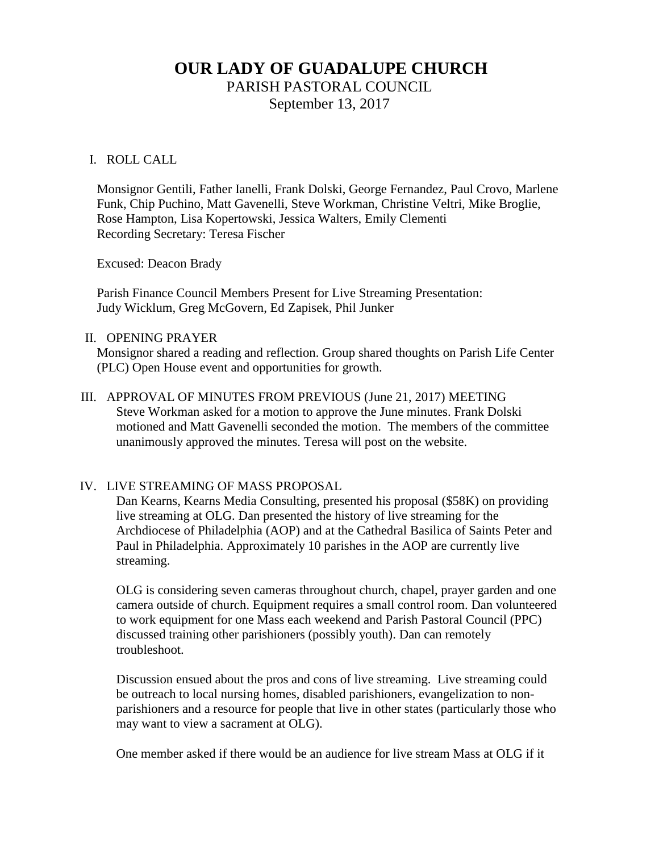# **OUR LADY OF GUADALUPE CHURCH**

PARISH PASTORAL COUNCIL

September 13, 2017

### I. ROLL CALL

Monsignor Gentili, Father Ianelli, Frank Dolski, George Fernandez, Paul Crovo, Marlene Funk, Chip Puchino, Matt Gavenelli, Steve Workman, Christine Veltri, Mike Broglie, Rose Hampton, Lisa Kopertowski, Jessica Walters, Emily Clementi Recording Secretary: Teresa Fischer

Excused: Deacon Brady

Parish Finance Council Members Present for Live Streaming Presentation: Judy Wicklum, Greg McGovern, Ed Zapisek, Phil Junker

#### II. OPENING PRAYER

Monsignor shared a reading and reflection. Group shared thoughts on Parish Life Center (PLC) Open House event and opportunities for growth.

III. APPROVAL OF MINUTES FROM PREVIOUS (June 21, 2017) MEETING Steve Workman asked for a motion to approve the June minutes. Frank Dolski motioned and Matt Gavenelli seconded the motion. The members of the committee unanimously approved the minutes. Teresa will post on the website.

#### IV. LIVE STREAMING OF MASS PROPOSAL

Dan Kearns, Kearns Media Consulting, presented his proposal (\$58K) on providing live streaming at OLG. Dan presented the history of live streaming for the Archdiocese of Philadelphia (AOP) and at the Cathedral Basilica of Saints Peter and Paul in Philadelphia. Approximately 10 parishes in the AOP are currently live streaming.

OLG is considering seven cameras throughout church, chapel, prayer garden and one camera outside of church. Equipment requires a small control room. Dan volunteered to work equipment for one Mass each weekend and Parish Pastoral Council (PPC) discussed training other parishioners (possibly youth). Dan can remotely troubleshoot.

Discussion ensued about the pros and cons of live streaming. Live streaming could be outreach to local nursing homes, disabled parishioners, evangelization to nonparishioners and a resource for people that live in other states (particularly those who may want to view a sacrament at OLG).

One member asked if there would be an audience for live stream Mass at OLG if it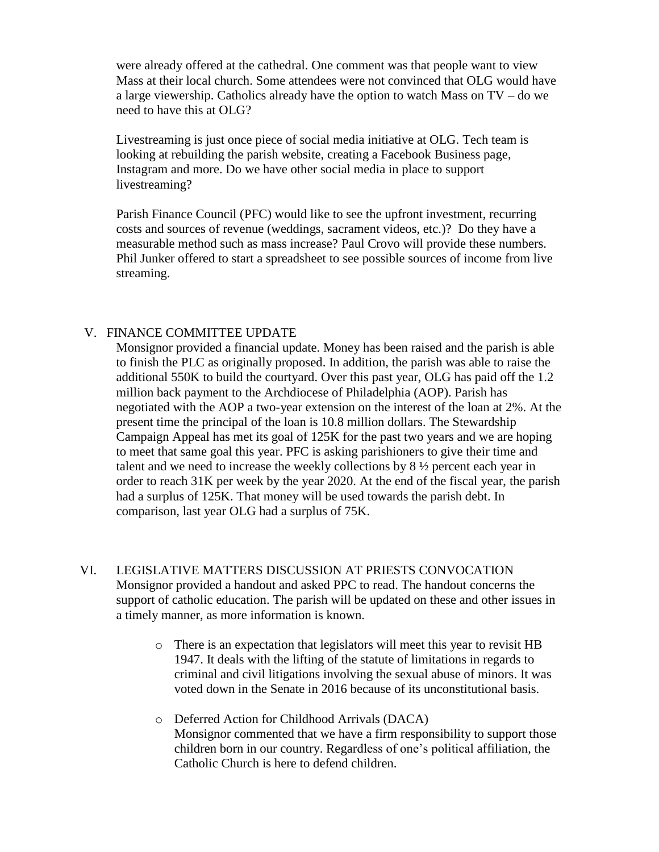were already offered at the cathedral. One comment was that people want to view Mass at their local church. Some attendees were not convinced that OLG would have a large viewership. Catholics already have the option to watch Mass on TV – do we need to have this at OLG?

Livestreaming is just once piece of social media initiative at OLG. Tech team is looking at rebuilding the parish website, creating a Facebook Business page, Instagram and more. Do we have other social media in place to support livestreaming?

Parish Finance Council (PFC) would like to see the upfront investment, recurring costs and sources of revenue (weddings, sacrament videos, etc.)? Do they have a measurable method such as mass increase? Paul Crovo will provide these numbers. Phil Junker offered to start a spreadsheet to see possible sources of income from live streaming.

#### V. FINANCE COMMITTEE UPDATE

Monsignor provided a financial update. Money has been raised and the parish is able to finish the PLC as originally proposed. In addition, the parish was able to raise the additional 550K to build the courtyard. Over this past year, OLG has paid off the 1.2 million back payment to the Archdiocese of Philadelphia (AOP). Parish has negotiated with the AOP a two-year extension on the interest of the loan at 2%. At the present time the principal of the loan is 10.8 million dollars. The Stewardship Campaign Appeal has met its goal of 125K for the past two years and we are hoping to meet that same goal this year. PFC is asking parishioners to give their time and talent and we need to increase the weekly collections by 8 ½ percent each year in order to reach 31K per week by the year 2020. At the end of the fiscal year, the parish had a surplus of 125K. That money will be used towards the parish debt. In comparison, last year OLG had a surplus of 75K.

- VI. LEGISLATIVE MATTERS DISCUSSION AT PRIESTS CONVOCATION Monsignor provided a handout and asked PPC to read. The handout concerns the support of catholic education. The parish will be updated on these and other issues in a timely manner, as more information is known.
	- o There is an expectation that legislators will meet this year to revisit HB 1947. It deals with the lifting of the statute of limitations in regards to criminal and civil litigations involving the sexual abuse of minors. It was voted down in the Senate in 2016 because of its unconstitutional basis.
	- o Deferred Action for Childhood Arrivals (DACA) Monsignor commented that we have a firm responsibility to support those children born in our country. Regardless of one's political affiliation, the Catholic Church is here to defend children.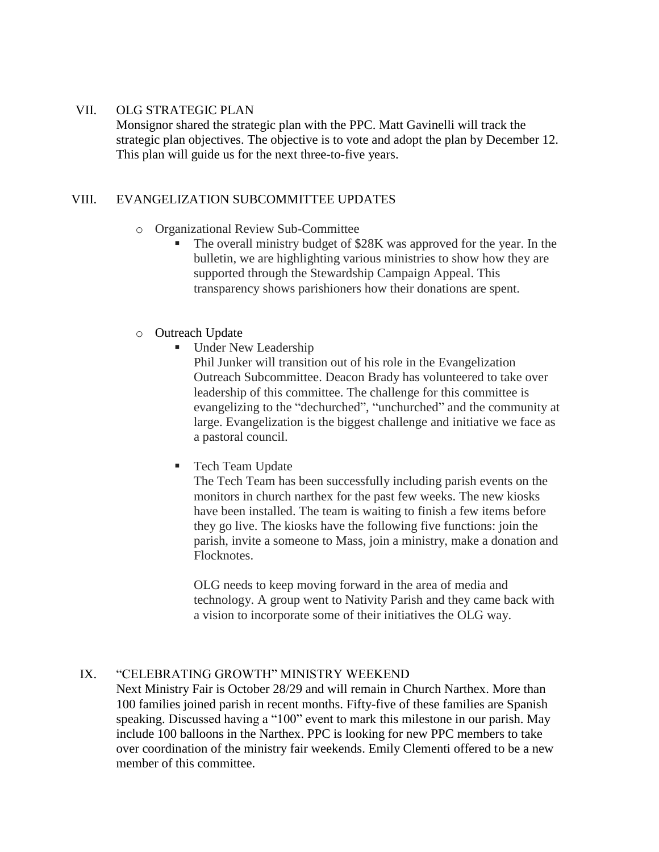#### VII. OLG STRATEGIC PLAN

Monsignor shared the strategic plan with the PPC. Matt Gavinelli will track the strategic plan objectives. The objective is to vote and adopt the plan by December 12. This plan will guide us for the next three-to-five years.

## VIII. EVANGELIZATION SUBCOMMITTEE UPDATES

## o Organizational Review Sub-Committee

 The overall ministry budget of \$28K was approved for the year. In the bulletin, we are highlighting various ministries to show how they are supported through the Stewardship Campaign Appeal. This transparency shows parishioners how their donations are spent.

## o Outreach Update

**Under New Leadership** 

Phil Junker will transition out of his role in the Evangelization Outreach Subcommittee. Deacon Brady has volunteered to take over leadership of this committee. The challenge for this committee is evangelizing to the "dechurched", "unchurched" and the community at large. Evangelization is the biggest challenge and initiative we face as a pastoral council.

■ Tech Team Update

The Tech Team has been successfully including parish events on the monitors in church narthex for the past few weeks. The new kiosks have been installed. The team is waiting to finish a few items before they go live. The kiosks have the following five functions: join the parish, invite a someone to Mass, join a ministry, make a donation and Flocknotes.

OLG needs to keep moving forward in the area of media and technology. A group went to Nativity Parish and they came back with a vision to incorporate some of their initiatives the OLG way.

# IX. "CELEBRATING GROWTH" MINISTRY WEEKEND

Next Ministry Fair is October 28/29 and will remain in Church Narthex. More than 100 families joined parish in recent months. Fifty-five of these families are Spanish speaking. Discussed having a "100" event to mark this milestone in our parish. May include 100 balloons in the Narthex. PPC is looking for new PPC members to take over coordination of the ministry fair weekends. Emily Clementi offered to be a new member of this committee.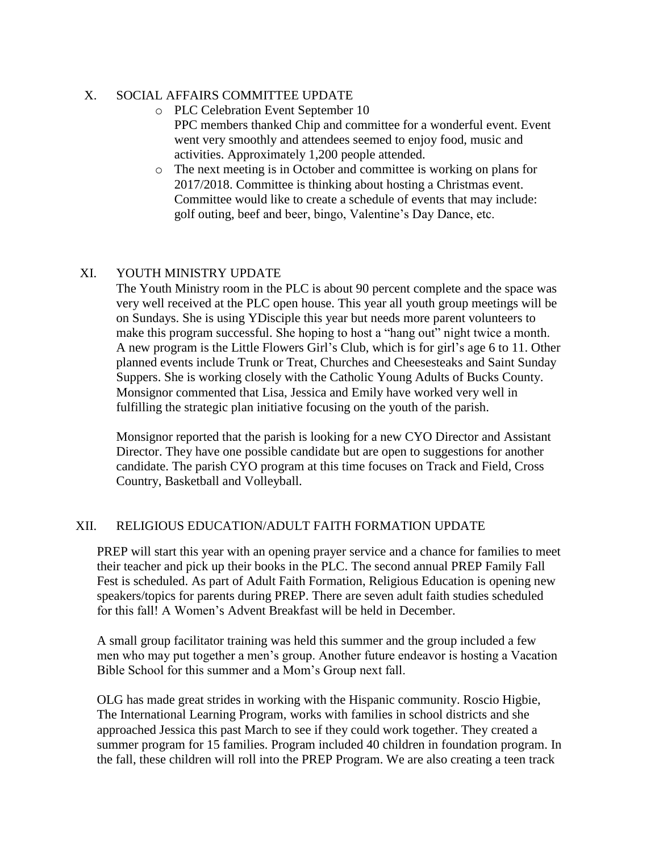# X. SOCIAL AFFAIRS COMMITTEE UPDATE

- o PLC Celebration Event September 10 PPC members thanked Chip and committee for a wonderful event. Event went very smoothly and attendees seemed to enjoy food, music and activities. Approximately 1,200 people attended.
- o The next meeting is in October and committee is working on plans for 2017/2018. Committee is thinking about hosting a Christmas event. Committee would like to create a schedule of events that may include: golf outing, beef and beer, bingo, Valentine's Day Dance, etc.

# XI. YOUTH MINISTRY UPDATE

The Youth Ministry room in the PLC is about 90 percent complete and the space was very well received at the PLC open house. This year all youth group meetings will be on Sundays. She is using YDisciple this year but needs more parent volunteers to make this program successful. She hoping to host a "hang out" night twice a month. A new program is the Little Flowers Girl's Club, which is for girl's age 6 to 11. Other planned events include Trunk or Treat, Churches and Cheesesteaks and Saint Sunday Suppers. She is working closely with the Catholic Young Adults of Bucks County. Monsignor commented that Lisa, Jessica and Emily have worked very well in fulfilling the strategic plan initiative focusing on the youth of the parish.

Monsignor reported that the parish is looking for a new CYO Director and Assistant Director. They have one possible candidate but are open to suggestions for another candidate. The parish CYO program at this time focuses on Track and Field, Cross Country, Basketball and Volleyball.

# XII. RELIGIOUS EDUCATION/ADULT FAITH FORMATION UPDATE

PREP will start this year with an opening prayer service and a chance for families to meet their teacher and pick up their books in the PLC. The second annual PREP Family Fall Fest is scheduled. As part of Adult Faith Formation, Religious Education is opening new speakers/topics for parents during PREP. There are seven adult faith studies scheduled for this fall! A Women's Advent Breakfast will be held in December.

A small group facilitator training was held this summer and the group included a few men who may put together a men's group. Another future endeavor is hosting a Vacation Bible School for this summer and a Mom's Group next fall.

OLG has made great strides in working with the Hispanic community. Roscio Higbie, The International Learning Program, works with families in school districts and she approached Jessica this past March to see if they could work together. They created a summer program for 15 families. Program included 40 children in foundation program. In the fall, these children will roll into the PREP Program. We are also creating a teen track